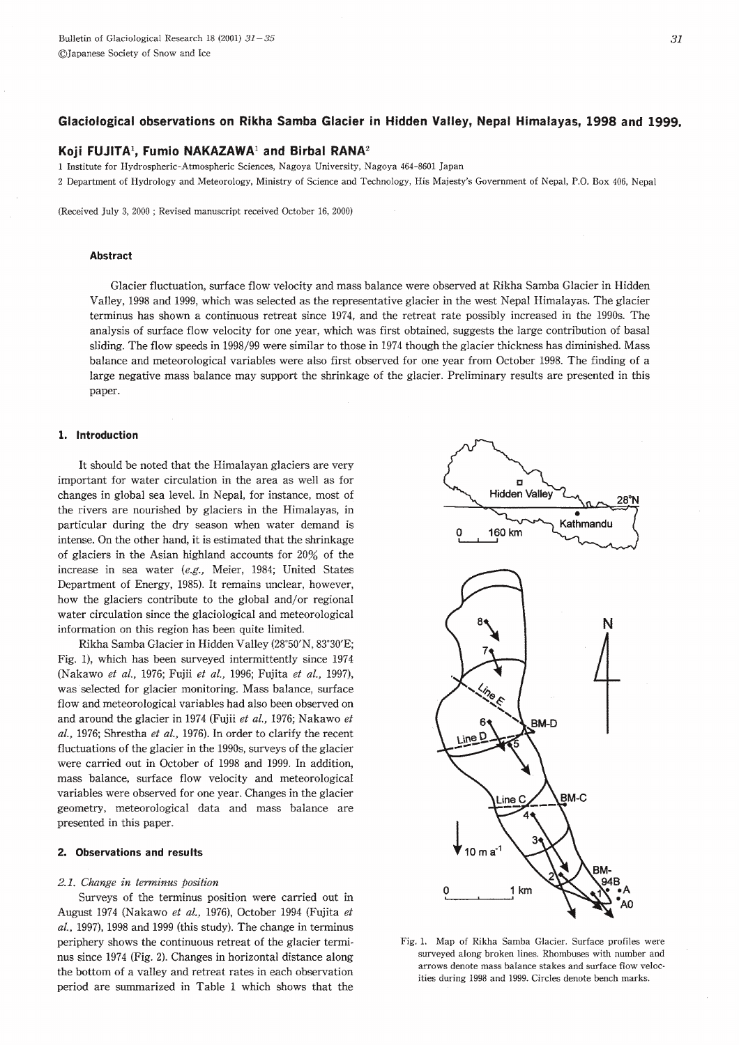# Koji FUJITA<sup>1</sup>, Fumio NAKAZAWA<sup>1</sup> and Birbal RANA<sup>2</sup>

1 Institute for Hydrospheric-Atmospheric Sciences, Nagoya University, Nagoya 464-8601 Japan

2 Department of Hydrology and Meteorology, Ministry of Science and Technology, His Majesty's Government of Nepal, P.O. Box 406, Nepal

(Received July 3, 2000 ; Revised manuscript received October 16, 2000)

# **Abstract**

Glacier fluctuation, surface flow velocity and mass balance were observed at Rikha Samba Glacier in Hidden Valley, 1998 and 1999, which was selected as the representative glacier in the west Nepal Himalayas. The glacier terminus has shown a continuous retreat since 1974, and the retreat rate possibly increased in the 1990s. The analysis of surface flow velocity for one year, which was first obtained, suggests the large contribution of basal sliding. The flow speeds in 1998/99 were similar to those in 1974 though the glacier thickness has diminished. Mass balance and meteorological variables were also first observed for one year from October 1998. The finding of a large negative mass balance may support the shrinkage of the glacier. Preliminary results are presented in this paper.

## 1. Introduction

It should be noted that the Himalayan glaciers are very important for water circulation in the area as well as for changes in global sea level. In Nepal, for instance, most of the rivers are nourished by glaciers in the Himalayas, in particular during the dry season when water demand is intense. On the other hand, it is estimated that the shrinkage of glaciers in the Asian highland accounts for  $20\%$  of the increase in sea water (e.g., Meier, 1984; United States Department of Energy, 1985). It remains unclear, however, how the glaciers contribute to the global and/or regional water circulation since the glaciological and meteorological information on this region has been quite limited.

Rikha Samba Glacier in Hidden Valley (28°50'N, 83°30'E; Fig. 1), which has been surveyed intermittently since 1974 (Nakawo et al., 1976; Fujii et al., 1996; Fujita et al., 1997), was selected for glacier monitoring. Mass balance, surface flow and meteorological variables had also been observed on and around the glacier in 1974 (Fujii et al., 1976; Nakawo et al., 1976; Shrestha et al., 1976). In order to clarify the recent fluctuations of the glacier in the 1990s, surveys of the glacier were carried out in October of 1998 and 1999. In addition, mass balance, surface flow velocity and meteorological variables were observed for one year. Changes in the glacier geometry, meteorological data and mass balance are presented in this paper.

### 2. Observations and results

#### 2.1. Change in terminus position

Surveys of the terminus position were carried out in August 1974 (Nakawo et al., 1976), October 1994 (Fujita et  $al.$ , 1997), 1998 and 1999 (this study). The change in terminus periphery shows the continuous retreat of the glacier terminus since 1974 (Fig. 2). Changes in horizontal distance along the bottom of a valley and retreat rates in each observation period are summarized in Table 1 which shows that the



Fig. 1. Map of Rikha Samba Glacier. Surface profiles were surveyed along broken lines. Rhombuses with number and arrows denote mass balance stakes and surface flow yelocities during 1998 and 1999. Circles denote bench marks.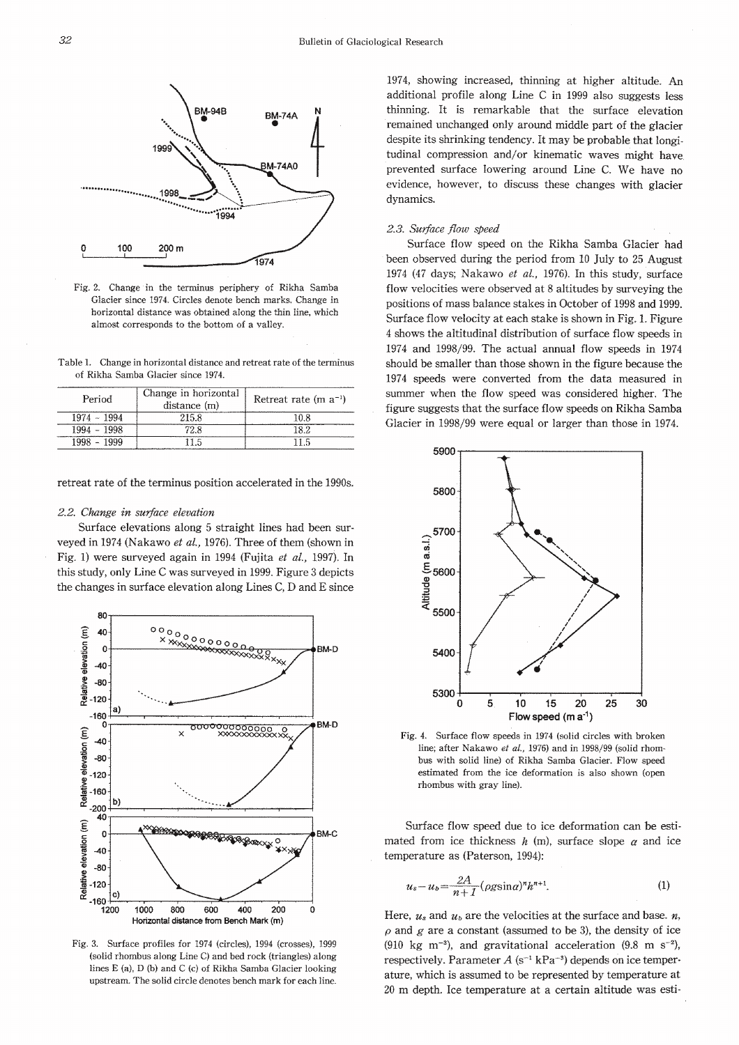

Fig. 2. Change in the terminus periphery of Rikha Samba Glacier since 1974. Circles denote bench marks. Change in horizontal distance was obtained along the thin line, which almost corresponds to the bottom of a valley.

Table 1. Change in horizontal distance and retreat rate of the terminus of Rikha Samba Glacier since 1974.

| Period        | Change in horizontal<br>distance (m) | Retreat rate $(m a^{-1})$ |  |
|---------------|--------------------------------------|---------------------------|--|
| 1974 - 1994   | 215.8                                | 10 8                      |  |
| $1994 - 1998$ | 72.8                                 |                           |  |
| 1999          |                                      |                           |  |

retreat rate of the terminus position accelerated in the 1990s.

#### 2.2. Change in surface elevation

Surface elevations along 5 straight lines had been surveyed in 1974 (Nakawo et al., 1976). Three of them (shown in Fig. 1) were surveyed again in 1994 (Fujita et al., 1997). In this study, only Line C was surveyed in 1999. Figure 3 depicts the changes in surface elevation along Lines C, D and E since



Fig. 3. Surface profiles for 1974 (circles), 1994 (crosses), 1999 (solid rhombus along Line C) and bed rock (triangles) along lines E (a), D (b) and C (c) of Rikha Samba Glacier looking upstream. The solid circle denotes bench mark for each line.

1974, showing increased, thinning at higher altitude. An additional profile along Line C in 1999 also suggests less thinning. It is remarkable that the surface elevation remained unchanged only around middle part of the glacier despite its shrinking tendency. It may be probable that longitudinal compression and/or kinematic waves might have prevented surface lowering around Line C. We have no evidence, however, to discuss these changes with glacier dynamics.

#### 2.3. Surface flow speed

Surface flow speed on the Rikha Samba Glacier had been observed during the period from 10 July to 25 August 1974 (47 days; Nakawo et al., 1976). In this study, surface flow velocities were observed at 8 altitudes by surveying the positions of mass balance stakes in October of 1998 and 1999. Surface flow velocity at each stake is shown in Fig. 1. Figure 4 shows the altitudinal distribution of surface flow speeds in 1974 and 1998/99. The actual annual flow speeds in 1974 should be smaller than those shown in the figure because the 1974 speeds were converted from the data measured in summer when the flow speed was considered higher. The figure suggests that the surface flow speeds on Rikha Samba Glacier in 1998/99 were equal or larger than those in 1974.



Fig. 4. Surface flow speeds in 1974 (solid circles with broken line; after Nakawo et al., 1976) and in 1998/99 (solid rhombus with solid line) of Rikha Samba Glacier. Flow speed estimated from the ice deformation is also shown (open rhombus with gray line).

Surface flow speed due to ice deformation can be estimated from ice thickness  $h$  (m), surface slope  $\alpha$  and ice temperature as (Paterson, 1994):

$$
u_s - u_b = \frac{2A}{n+1} (\rho g \sin \alpha)^n h^{n+1}.
$$
 (1)

Here,  $u_s$  and  $u_b$  are the velocities at the surface and base.  $n$ ,  $\rho$  and  $g$  are a constant (assumed to be 3), the density of ice (910 kg m<sup>-3</sup>), and gravitational acceleration (9.8 m s<sup>-2</sup>), respectively. Parameter  $A$  (s<sup>-1</sup> kPa<sup>-3</sup>) depends on ice temperature, which is assumed to be represented by temperature at 20 m depth. Ice temperature at a certain altitude was esti-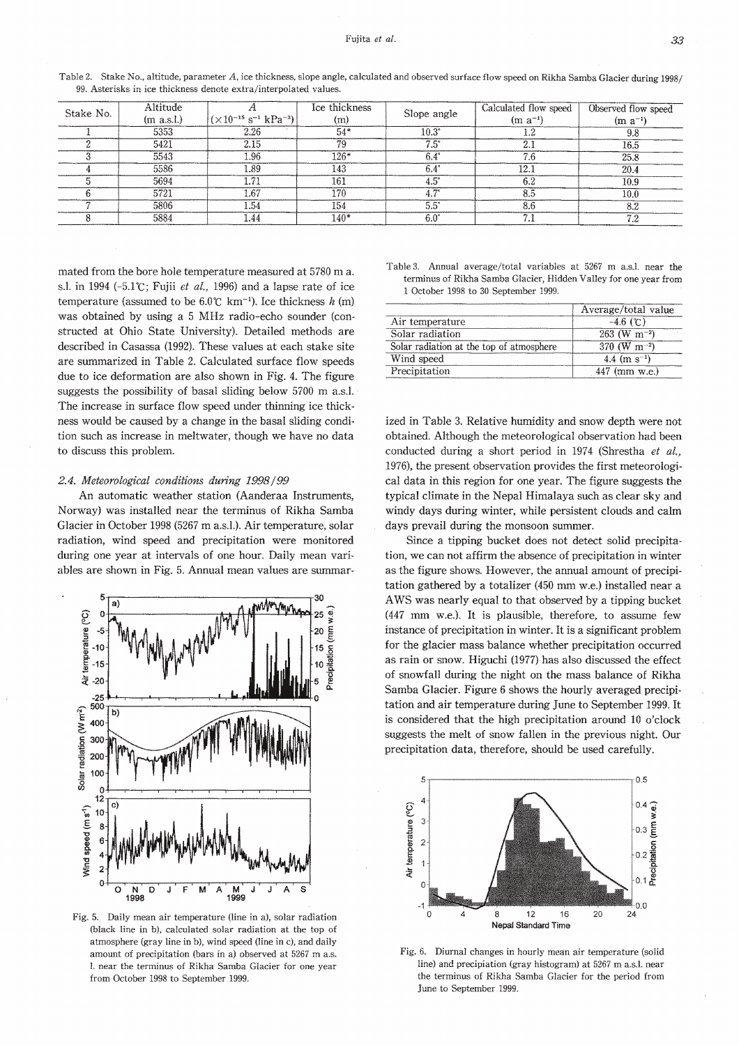| Altitude<br>Stake No.<br>(m a.s.l.) |                                                     | Ice thickness | Slope angle | Calculated flow speed | Observed flow speed |      |
|-------------------------------------|-----------------------------------------------------|---------------|-------------|-----------------------|---------------------|------|
|                                     | $(\times 10^{-15} \text{ s}^{-1} \text{ kPa}^{-3})$ | (m)           |             | $(m a^{-1})$          | $(m a^{-1})$        |      |
|                                     | 5353                                                | 2.26          | $54*$       | $10.3^\circ$          | 1.2                 | 9.8  |
|                                     | 5421                                                | 2.15          | 79          | $7.5^\circ$           | 2.1                 | 16.5 |
|                                     | 5543                                                | 1.96          | $126*$      | $6.4^\circ$           | 7.6                 | 25.8 |
|                                     | 5586                                                | 1.89          | 143         | $6.4^\circ$           | 12.1                | 20.4 |
|                                     | 5694                                                | 1.71          | 161         | $4.5^\circ$           | 6.2                 | 10.9 |
|                                     | 5721                                                | 1.67          | 170         | $4.7^\circ$           | 8.5                 | 10.0 |
|                                     | 5806                                                | 1.54          | 154         | $5.5^\circ$           | 8.6                 | 8.2  |
|                                     | 5884                                                | 1.44          | $140*$      | $6.0^\circ$           | 7.1                 | 7.2  |

Table 2. Stake No., altitude, parameter A, ice thickness, slope angle, calculated and observed surface flow speed on Rikha Samba Glacier during 1998/ 99. Asterisks in ice thickness denote extra/interpolated values

mated from the bore hole temperature measured at 5780 m a. s.l. in 1994 (-5.1°C; Fujii et al., 1996) and a lapse rate of ice temperature (assumed to be  $6.0^{\circ}$ C km<sup>-1</sup>). Ice thickness h (m) was obtained by using a 5 MHz radio-echo sounder (constructed at Ohio State University). Detailed methods are described in Casassa (1992). These values at each stake site are summarized in Table 2. Calculated surface flow speeds due to ice deformation are also shown in Fig. 4. The figure suggests the possibility of basal sliding below 5700 m a.s.l. The increase in surface flow speed under thinning ice thickness would be caused by a change in the basal sliding condition such as increase in meltwater, though we have no data to discuss this problem.

## 2.4. Meteorological conditions during 1998/99

An automatic weather station (Aanderaa Instruments, Norway) was installed near the terminus of Rikha Samba Glacier in October 1998 (5267 m a.s.l.). Air temperature, solar radiation, wind speed and precipitation were monitored during one year at intervals of one hour. Daily mean variables are shown in Fig. 5. Annual mean values are summar-



Fig. 5. Daily mean air temperature (line in a), solar radiation (black line in b), calculated solar radiation at the top of atmosphere (gray line in b), wind speed (line in c), and daily amount of precipitation (bars in a) observed at 5267 m a.s. 1. near the terminus of Rikha Samba Glacier for one year from October 1998 to September 1999.

|  |  | lable 3. Annual average/total variables at 5267 m a.s.l. near the |  |  |  |
|--|--|-------------------------------------------------------------------|--|--|--|
|  |  | terminus of Rikha Samba Glacier, Hidden Valley for one year from  |  |  |  |
|  |  | 1 October 1998 to 30 September 1999.                              |  |  |  |

|                                          | Average/total value        |
|------------------------------------------|----------------------------|
| Air temperature                          | $-4.6$ (°C)                |
| Solar radiation                          | $263$ (W m <sup>-2</sup> ) |
| Solar radiation at the top of atmosphere | 370 (W m <sup>-2</sup> )   |
| Wind speed                               | 4.4 (m $s^{-1}$ )          |
| Precipitation                            | 447 (mm w.e.)              |

ized in Table 3. Relative humidity and snow depth were not obtained. Although the meteorological observation had been conducted during a short period in 1974 (Shrestha et al., 1976), the present observation provides the first meteorological data in this region for one year. The figure suggests the typical climate in the Nepal Himalaya such as clear sky and windy days during winter, while persistent clouds and calm days prevail during the monsoon summer.

Since a tipping bucket does not detect solid precipitation, we can not affirm the absence of precipitation in winter as the figure shows. However, the annual amount of precipitation gathered by a totalizer (450 mm w.e.) installed near a AWS was nearly equal to that observed by a tipping bucket (447 mm w.e.). It is plausible, therefore, to assume few instance of precipitation in winter. It is a significant problem for the glacier mass balance whether precipitation occurred as rain or snow. Higuchi (1977) has also discussed the effect of snowfall during the night on the mass balance of Rikha Samba Glacier. Figure 6 shows the hourly averaged precipitation and air temperature during June to September 1999. It is considered that the high precipitation around 10 o'clock suggests the melt of snow fallen in the previous night. Our precipitation data, therefore, should be used carefully,



Fig. 6. Diurnal changes in hourly mean air temperature (solid line) and precipiation (gray histogram) at 5267 m a.s.l. near the terminus of Rikha Samba Glacier for the period from June to September 1999.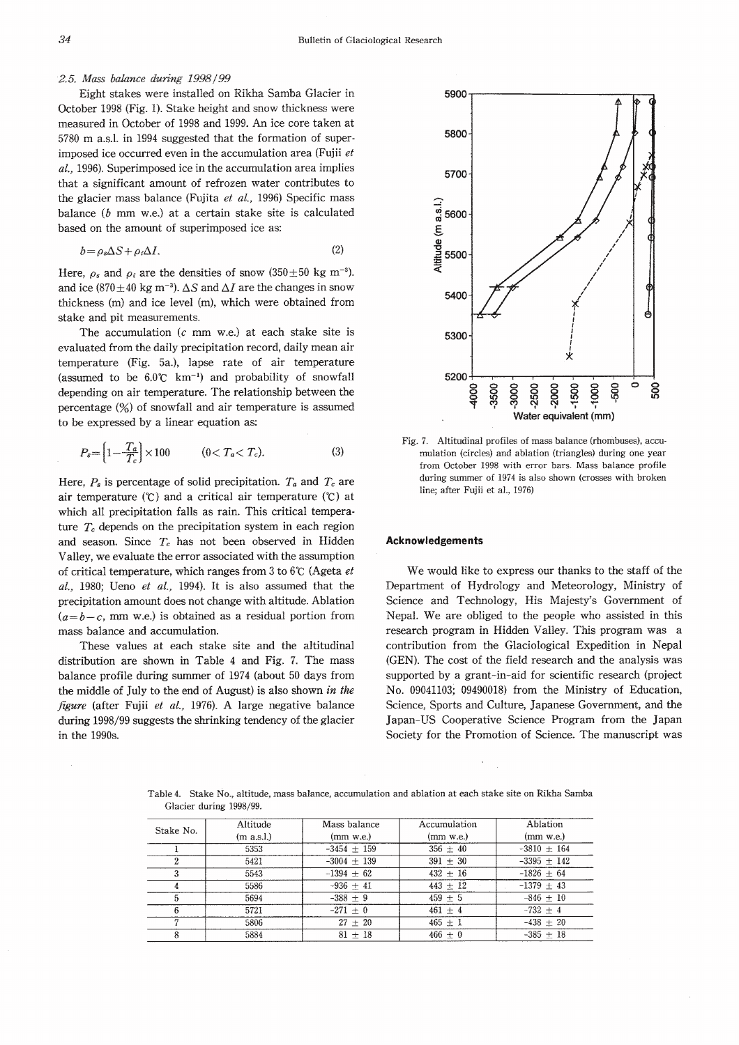# 2.5. Mass balance during 1998/99

Eight stakes were installed on Rikha Samba Glacier in October 1998 (Fig. 1). Stake height and snow thickness were measured in October of 1998 and 1999. An ice core taken at 5780 m a.s.l. in 1994 suggested that the formation of superimposed ice occurred even in the accumulation area (Fujii et al., 1996). Superimposed ice in the accumulation area implies that a significant amount of refrozen water contributes to the glacier mass balance (Fujita et al., 1996) Specific mass balance  $(b \text{ mm}, w.e.)$  at a certain stake site is calculated based on the amount of superimposed ice as:

$$
b = \rho_s \Delta S + \rho_i \Delta I. \tag{2}
$$

Here,  $\rho_s$  and  $\rho_i$  are the densities of snow (350 $\pm$ 50 kg m<sup>-3</sup>). and ice (870 ± 40 kg m<sup>-3</sup>).  $\Delta S$  and  $\Delta I$  are the changes in snow thickness (m) and ice level (m), which were obtained from stake and pit measurements.

The accumulation  $(c \text{ mm w.e.})$  at each stake site is evaluated from the daily precipitation record, daily mean air temperature (Fig. 5a.), lapse rate of air temperature (assumed to be  $6.0^{\circ}$  km<sup>-1</sup>) and probability of snowfall depending on air temperature. The relationship between the percentage  $(\%)$  of snowfall and air temperature is assumed to be expressed by a linear equation as:

$$
P_s = \left[1 - \frac{T_a}{T_c}\right] \times 100 \qquad (0 < T_a < T_c). \tag{3}
$$

Here,  $P_s$  is percentage of solid precipitation.  $T_a$  and  $T_c$  are air temperature  $(\mathcal{C})$  and a critical air temperature  $(\mathcal{C})$  at which all precipitation falls as rain. This critical temperature  $T_c$  depends on the precipitation system in each region and season. Since  $T_c$  has not been observed in Hidden Valley, we evaluate the error associated with the assumption of critical temperature, which ranges from 3 to 6°C (Ageta et  $al., 1980;$  Ueno et  $al., 1994$ ). It is also assumed that the precipitation amount does not change with altitude. Ablation  $(a=b-c,$  mm w.e.) is obtained as a residual portion from mass balance and accumulation.

These values at each stake site and the altitudinal distribution are shown in Table 4 and Fig. 7. The mass balance profile during summer of 1974 (about 50 days from the middle of July to the end of August) is also shown in the figure (after Fujii et al., 1976). A large negative balance during 1998/99 suggests the shrinking tendency of the glacier in the 1990s.



Fig. 7. Altitudinal profiles of mass balance (rhombuses), accumulation (circles) and ablation (triangles) during one year from October 1998 with error bars. Mass balance profile during summer of 1974 is also shown (crosses with broken line; after Fujii et al., 1976)

### **Acknowledgements**

We would like to express our thanks to the staff of the Department of Hydrology and Meteorology, Ministry of Science and Technology, His Majesty's Government of Nepal. We are obliged to the people who assisted in this research program in Hidden Valley. This program was a contribution from the Glaciological Expedition in Nepal (GEN). The cost of the field research and the analysis was supported by a grant-in-aid for scientific research (project No. 09041103; 09490018) from the Ministry of Education, Science, Sports and Culture, Japanese Government, and the Japan-US Cooperative Science Program from the Japan Society for the Promotion of Science. The manuscript was

Table 4. Stake No., altitude, mass balance, accumulation and ablation at each stake site on Rikha Samba Glacier during 1998/99.

| Stake No. | Altitude   | Mass balance  | Accumulation | Ablation        |
|-----------|------------|---------------|--------------|-----------------|
|           | (m a.s.l.) | $(mm$ w.e.)   | $(mm$ w.e.)  | $(mm$ w.e.)     |
|           | 5353       | $-3454 + 159$ | $356 \pm 40$ | $-3810 \pm 164$ |
|           | 5421       | $-3004 + 139$ | $391 \pm 30$ | $-3395 + 142$   |
|           | 5543       | $-1394 + 62$  | $432 + 16$   | $-1826 + 64$    |
| 4         | 5586       | $-936 + 41$   | $443 + 12$   | $-1379 \pm 43$  |
|           | 5694       | $-388 + 9$    | $459 + 5$    | $-846 + 10$     |
| 6         | 5721       | $-271 + 0$    | $461 + 4$    | $-732 + 4$      |
|           | 5806       | $27 + 20$     | $465 + 1$    | $-438 + 20$     |
|           | 5884       | $81 + 18$     | $466 + 0$    | $-385 + 18$     |